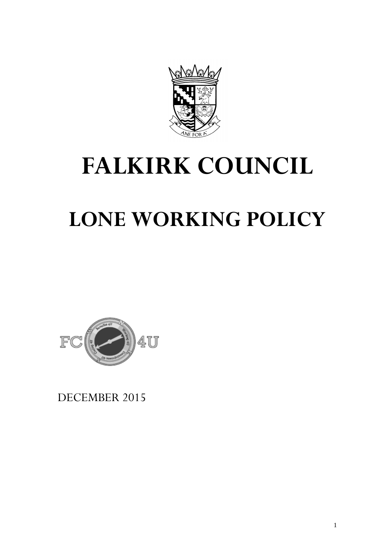

# **FALKIRK COUNCIL**

## **LONE WORKING POLICY**



DECEMBER 2015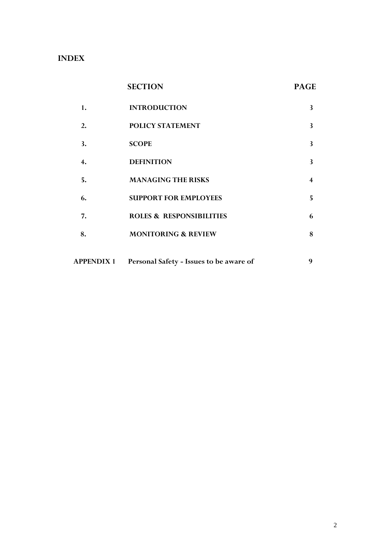## **INDEX**

|                   | <b>SECTION</b>                          | <b>PAGE</b>             |
|-------------------|-----------------------------------------|-------------------------|
| 1.                | <b>INTRODUCTION</b>                     | 3                       |
| 2.                | POLICY STATEMENT                        | 3                       |
| 3.                | <b>SCOPE</b>                            | 3                       |
| 4.                | <b>DEFINITION</b>                       | 3                       |
| 5.                | <b>MANAGING THE RISKS</b>               | $\overline{\mathbf{4}}$ |
| 6.                | <b>SUPPORT FOR EMPLOYEES</b>            | 5                       |
| 7.                | <b>ROLES &amp; RESPONSIBILITIES</b>     | 6                       |
| 8.                | <b>MONITORING &amp; REVIEW</b>          | 8                       |
| <b>APPENDIX 1</b> | Personal Safety - Issues to be aware of | 9                       |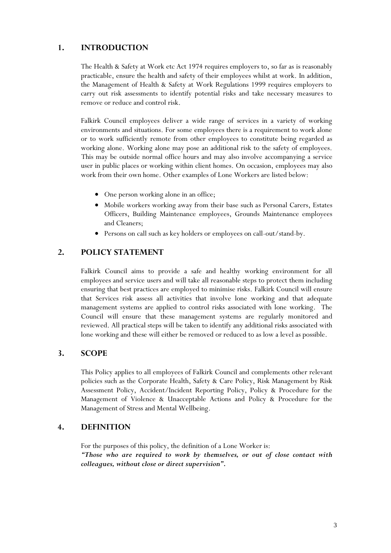## **1. INTRODUCTION**

The Health & Safety at Work etc Act 1974 requires employers to, so far as is reasonably practicable, ensure the health and safety of their employees whilst at work. In addition, the Management of Health & Safety at Work Regulations 1999 requires employers to carry out risk assessments to identify potential risks and take necessary measures to remove or reduce and control risk.

Falkirk Council employees deliver a wide range of services in a variety of working environments and situations. For some employees there is a requirement to work alone or to work sufficiently remote from other employees to constitute being regarded as working alone. Working alone may pose an additional risk to the safety of employees. This may be outside normal office hours and may also involve accompanying a service user in public places or working within client homes. On occasion, employees may also work from their own home. Other examples of Lone Workers are listed below:

- One person working alone in an office;
- Mobile workers working away from their base such as Personal Carers, Estates Officers, Building Maintenance employees, Grounds Maintenance employees and Cleaners;
- Persons on call such as key holders or employees on call-out/stand-by.

## **2. POLICY STATEMENT**

Falkirk Council aims to provide a safe and healthy working environment for all employees and service users and will take all reasonable steps to protect them including ensuring that best practices are employed to minimise risks. Falkirk Council will ensure that Services risk assess all activities that involve lone working and that adequate management systems are applied to control risks associated with lone working. The Council will ensure that these management systems are regularly monitored and reviewed. All practical steps will be taken to identify any additional risks associated with lone working and these will either be removed or reduced to as low a level as possible.

## **3. SCOPE**

This Policy applies to all employees of Falkirk Council and complements other relevant policies such as the Corporate Health, Safety & Care Policy, Risk Management by Risk Assessment Policy, Accident/Incident Reporting Policy, Policy & Procedure for the Management of Violence & Unacceptable Actions and Policy & Procedure for the Management of Stress and Mental Wellbeing.

## **4. DEFINITION**

For the purposes of this policy, the definition of a Lone Worker is: *"Those who are required to work by themselves, or out of close contact with colleagues, without close or direct supervision".*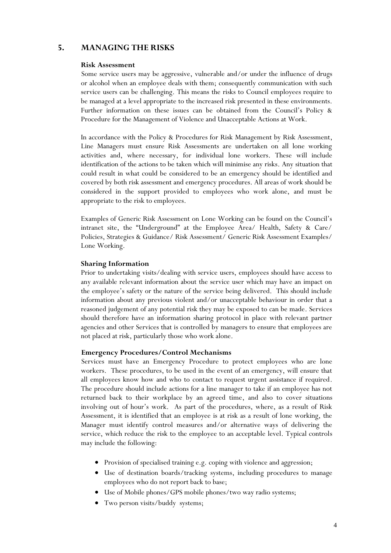## **5. MANAGING THE RISKS**

#### **Risk Assessment**

Some service users may be aggressive, vulnerable and/or under the influence of drugs or alcohol when an employee deals with them; consequently communication with such service users can be challenging. This means the risks to Council employees require to be managed at a level appropriate to the increased risk presented in these environments. Further information on these issues can be obtained from the Council's Policy & Procedure for the Management of Violence and Unacceptable Actions at Work.

In accordance with the Policy & Procedures for Risk Management by Risk Assessment, Line Managers must ensure Risk Assessments are undertaken on all lone working activities and, where necessary, for individual lone workers. These will include identification of the actions to be taken which will minimise any risks. Any situation that could result in what could be considered to be an emergency should be identified and covered by both risk assessment and emergency procedures. All areas of work should be considered in the support provided to employees who work alone, and must be appropriate to the risk to employees.

Examples of Generic Risk Assessment on Lone Working can be found on the Council's intranet site, the "Underground" at the Employee Area/ Health, Safety & Care/ Policies, Strategies & Guidance/ Risk Assessment/ Generic Risk Assessment Examples/ Lone Working.

#### **Sharing Information**

Prior to undertaking visits/dealing with service users, employees should have access to any available relevant information about the service user which may have an impact on the employee's safety or the nature of the service being delivered. This should include information about any previous violent and/or unacceptable behaviour in order that a reasoned judgement of any potential risk they may be exposed to can be made. Services should therefore have an information sharing protocol in place with relevant partner agencies and other Services that is controlled by managers to ensure that employees are not placed at risk, particularly those who work alone.

#### **Emergency Procedures/Control Mechanisms**

Services must have an Emergency Procedure to protect employees who are lone workers. These procedures, to be used in the event of an emergency, will ensure that all employees know how and who to contact to request urgent assistance if required. The procedure should include actions for a line manager to take if an employee has not returned back to their workplace by an agreed time, and also to cover situations involving out of hour's work. As part of the procedures, where, as a result of Risk Assessment, it is identified that an employee is at risk as a result of lone working, the Manager must identify control measures and/or alternative ways of delivering the service, which reduce the risk to the employee to an acceptable level. Typical controls may include the following:

- Provision of specialised training e.g. coping with violence and aggression;
- Use of destination boards/tracking systems, including procedures to manage employees who do not report back to base;
- Use of Mobile phones/GPS mobile phones/two way radio systems;
- Two person visits/buddy systems;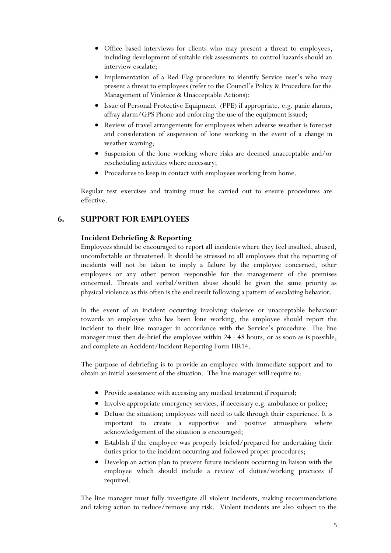- Office based interviews for clients who may present a threat to employees, including development of suitable risk assessments to control hazards should an interview escalate;
- Implementation of a Red Flag procedure to identify Service user's who may present a threat to employees (refer to the Council's Policy & Procedure for the Management of Violence & Unacceptable Actions);
- Issue of Personal Protective Equipment (PPE) if appropriate, e.g. panic alarms, affray alarm/GPS Phone and enforcing the use of the equipment issued;
- Review of travel arrangements for employees when adverse weather is forecast and consideration of suspension of lone working in the event of a change in weather warning;
- Suspension of the lone working where risks are deemed unacceptable and/or rescheduling activities where necessary;
- Procedures to keep in contact with employees working from home.

Regular test exercises and training must be carried out to ensure procedures are effective.

## **6. SUPPORT FOR EMPLOYEES**

#### **Incident Debriefing & Reporting**

Employees should be encouraged to report all incidents where they feel insulted, abused, uncomfortable or threatened. It should be stressed to all employees that the reporting of incidents will not be taken to imply a failure by the employee concerned, other employees or any other person responsible for the management of the premises concerned. Threats and verbal/written abuse should be given the same priority as physical violence as this often is the end result following a pattern of escalating behavior.

In the event of an incident occurring involving violence or unacceptable behaviour towards an employee who has been lone working, the employee should report the incident to their line manager in accordance with the Service's procedure. The line manager must then de-brief the employee within 24 - 48 hours, or as soon as is possible, and complete an Accident/Incident Reporting Form HR14.

The purpose of debriefing is to provide an employee with immediate support and to obtain an initial assessment of the situation. The line manager will require to:

- Provide assistance with accessing any medical treatment if required;
- Involve appropriate emergency services, if necessary e.g. ambulance or police;
- Defuse the situation; employees will need to talk through their experience. It is important to create a supportive and positive atmosphere where acknowledgement of the situation is encouraged;
- Establish if the employee was properly briefed/prepared for undertaking their duties prior to the incident occurring and followed proper procedures;
- Develop an action plan to prevent future incidents occurring in liaison with the employee which should include a review of duties/working practices if required.

The line manager must fully investigate all violent incidents, making recommendations and taking action to reduce/remove any risk. Violent incidents are also subject to the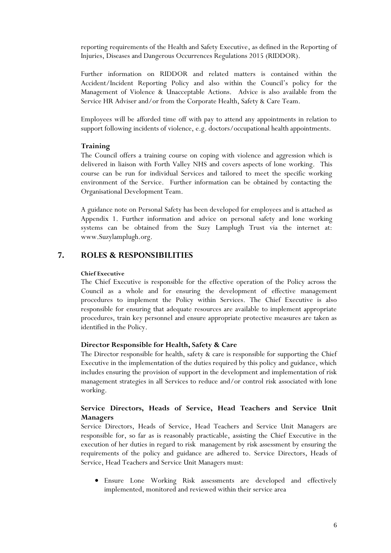reporting requirements of the Health and Safety Executive, as defined in the Reporting of Injuries, Diseases and Dangerous Occurrences Regulations 2015 (RIDDOR).

Further information on RIDDOR and related matters is contained within the Accident/Incident Reporting Policy and also within the Council's policy for the Management of Violence & Unacceptable Actions. Advice is also available from the Service HR Adviser and/or from the Corporate Health, Safety & Care Team.

Employees will be afforded time off with pay to attend any appointments in relation to support following incidents of violence, e.g. doctors/occupational health appointments.

#### **Training**

The Council offers a training course on coping with violence and aggression which is delivered in liaison with Forth Valley NHS and covers aspects of lone working. This course can be run for individual Services and tailored to meet the specific working environment of the Service. Further information can be obtained by contacting the Organisational Development Team.

A guidance note on Personal Safety has been developed for employees and is attached as Appendix 1. Further information and advice on personal safety and lone working systems can be obtained from the Suzy Lamplugh Trust via the internet at: www.Suzylamplugh.org.

## **7. ROLES & RESPONSIBILITIES**

#### **Chief Executive**

The Chief Executive is responsible for the effective operation of the Policy across the Council as a whole and for ensuring the development of effective management procedures to implement the Policy within Services. The Chief Executive is also responsible for ensuring that adequate resources are available to implement appropriate procedures, train key personnel and ensure appropriate protective measures are taken as identified in the Policy.

#### **Director Responsible for Health, Safety & Care**

The Director responsible for health, safety & care is responsible for supporting the Chief Executive in the implementation of the duties required by this policy and guidance, which includes ensuring the provision of support in the development and implementation of risk management strategies in all Services to reduce and/or control risk associated with lone working.

## **Service Directors, Heads of Service, Head Teachers and Service Unit Managers**

Service Directors, Heads of Service, Head Teachers and Service Unit Managers are responsible for, so far as is reasonably practicable, assisting the Chief Executive in the execution of her duties in regard to risk management by risk assessment by ensuring the requirements of the policy and guidance are adhered to. Service Directors, Heads of Service, Head Teachers and Service Unit Managers must:

 Ensure Lone Working Risk assessments are developed and effectively implemented, monitored and reviewed within their service area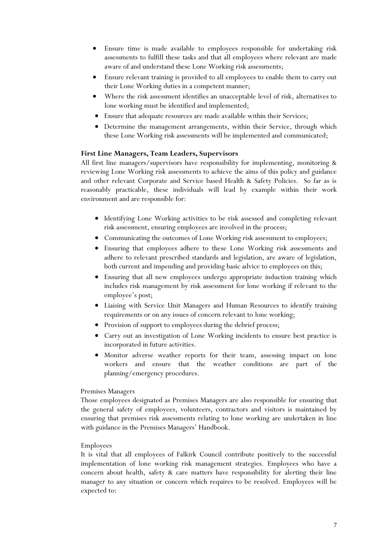- Ensure time is made available to employees responsible for undertaking risk assessments to fulfill these tasks and that all employees where relevant are made aware of and understand these Lone Working risk assessments;
- Ensure relevant training is provided to all employees to enable them to carry out their Lone Working duties in a competent manner;
- Where the risk assessment identifies an unacceptable level of risk, alternatives to lone working must be identified and implemented;
- Ensure that adequate resources are made available within their Services;
- Determine the management arrangements, within their Service, through which these Lone Working risk assessments will be implemented and communicated;

### **First Line Managers, Team Leaders, Supervisors**

All first line managers/supervisors have responsibility for implementing, monitoring & reviewing Lone Working risk assessments to achieve the aims of this policy and guidance and other relevant Corporate and Service based Health & Safety Policies. So far as is reasonably practicable, these individuals will lead by example within their work environment and are responsible for:

- Identifying Lone Working activities to be risk assessed and completing relevant risk assessment, ensuring employees are involved in the process;
- Communicating the outcomes of Lone Working risk assessment to employees;
- Ensuring that employees adhere to these Lone Working risk assessments and adhere to relevant prescribed standards and legislation, are aware of legislation, both current and impending and providing basic advice to employees on this;
- Ensuring that all new employees undergo appropriate induction training which includes risk management by risk assessment for lone working if relevant to the employee's post;
- Liaising with Service Unit Managers and Human Resources to identify training requirements or on any issues of concern relevant to lone working;
- Provision of support to employees during the debrief process;
- Carry out an investigation of Lone Working incidents to ensure best practice is incorporated in future activities.
- Monitor adverse weather reports for their team, assessing impact on lone workers and ensure that the weather conditions are part of the planning/emergency procedures.

#### Premises Managers

Those employees designated as Premises Managers are also responsible for ensuring that the general safety of employees, volunteers, contractors and visitors is maintained by ensuring that premises risk assessments relating to lone working are undertaken in line with guidance in the Premises Managers' Handbook.

#### Employees

It is vital that all employees of Falkirk Council contribute positively to the successful implementation of lone working risk management strategies. Employees who have a concern about health, safety & care matters have responsibility for alerting their line manager to any situation or concern which requires to be resolved. Employees will be expected to: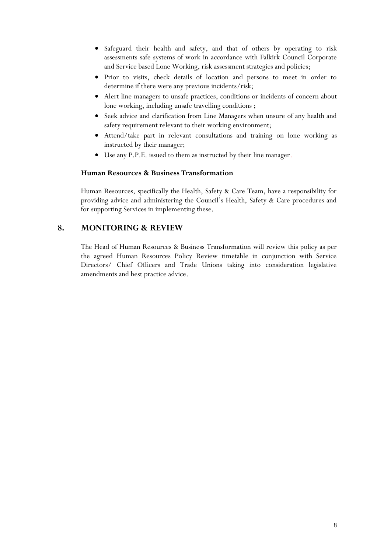- Safeguard their health and safety, and that of others by operating to risk assessments safe systems of work in accordance with Falkirk Council Corporate and Service based Lone Working, risk assessment strategies and policies;
- Prior to visits, check details of location and persons to meet in order to determine if there were any previous incidents/risk;
- Alert line managers to unsafe practices, conditions or incidents of concern about lone working, including unsafe travelling conditions ;
- Seek advice and clarification from Line Managers when unsure of any health and safety requirement relevant to their working environment;
- Attend/take part in relevant consultations and training on lone working as instructed by their manager;
- Use any P.P.E. issued to them as instructed by their line manager.

### **Human Resources & Business Transformation**

Human Resources, specifically the Health, Safety & Care Team, have a responsibility for providing advice and administering the Council's Health, Safety & Care procedures and for supporting Services in implementing these.

## **8. MONITORING & REVIEW**

The Head of Human Resources & Business Transformation will review this policy as per the agreed Human Resources Policy Review timetable in conjunction with Service Directors/ Chief Officers and Trade Unions taking into consideration legislative amendments and best practice advice.